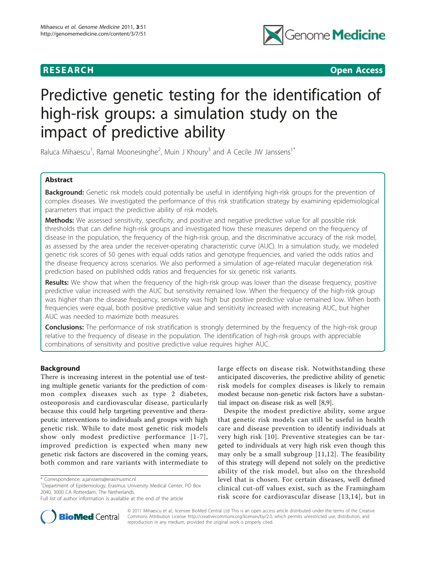

**RESEARCH CONTROL** CONTROL CONTROL CONTROL CONTROL CONTROL CONTROL CONTROL CONTROL CONTROL CONTROL CONTROL CONTROL CONTROL CONTROL CONTROL CONTROL CONTROL CONTROL CONTROL CONTROL CONTROL CONTROL CONTROL CONTROL CONTROL CON

# Predictive genetic testing for the identification of high-risk groups: a simulation study on the impact of predictive ability

Raluca Mihaescu<sup>1</sup>, Ramal Moonesinghe<sup>2</sup>, Muin J Khoury<sup>3</sup> and A Cecile JW Janssens<sup>1\*</sup>

# Abstract

Background: Genetic risk models could potentially be useful in identifying high-risk groups for the prevention of complex diseases. We investigated the performance of this risk stratification strategy by examining epidemiological parameters that impact the predictive ability of risk models.

Methods: We assessed sensitivity, specificity, and positive and negative predictive value for all possible risk thresholds that can define high-risk groups and investigated how these measures depend on the frequency of disease in the population, the frequency of the high-risk group, and the discriminative accuracy of the risk model, as assessed by the area under the receiver-operating characteristic curve (AUC). In a simulation study, we modeled genetic risk scores of 50 genes with equal odds ratios and genotype frequencies, and varied the odds ratios and the disease frequency across scenarios. We also performed a simulation of age-related macular degeneration risk prediction based on published odds ratios and frequencies for six genetic risk variants.

Results: We show that when the frequency of the high-risk group was lower than the disease frequency, positive predictive value increased with the AUC but sensitivity remained low. When the frequency of the high-risk group was higher than the disease frequency, sensitivity was high but positive predictive value remained low. When both frequencies were equal, both positive predictive value and sensitivity increased with increasing AUC, but higher AUC was needed to maximize both measures.

**Conclusions:** The performance of risk stratification is strongly determined by the frequency of the high-risk group relative to the frequency of disease in the population. The identification of high-risk groups with appreciable combinations of sensitivity and positive predictive value requires higher AUC.

# Background

There is increasing interest in the potential use of testing multiple genetic variants for the prediction of common complex diseases such as type 2 diabetes, osteoporosis and cardiovascular disease, particularly because this could help targeting preventive and therapeutic interventions to individuals and groups with high genetic risk. While to date most genetic risk models show only modest predictive performance [[1](#page-6-0)-[7\]](#page-6-0), improved prediction is expected when many new genetic risk factors are discovered in the coming years, both common and rare variants with intermediate to

<sup>1</sup>Department of Epidemiology, Erasmus University Medical Center, PO Box 2040, 3000 CA Rotterdam, The Netherlands

large effects on disease risk. Notwithstanding these anticipated discoveries, the predictive ability of genetic risk models for complex diseases is likely to remain modest because non-genetic risk factors have a substantial impact on disease risk as well [\[8,9](#page-6-0)].

Despite the modest predictive ability, some argue that genetic risk models can still be useful in health care and disease prevention to identify individuals at very high risk [[10](#page-6-0)]. Preventive strategies can be targeted to individuals at very high risk even though this may only be a small subgroup [[11,12](#page-6-0)]. The feasibility of this strategy will depend not solely on the predictive ability of the risk model, but also on the threshold level that is chosen. For certain diseases, well defined clinical cut-off values exist, such as the Framingham risk score for cardiovascular disease [[13,14](#page-6-0)], but in



© 2011 Mihaescu et al.; licensee BioMed Central Ltd This is an open access article distributed under the terms of the Creative Commons Attribution License [http://creativecommons.org/licenses/by/2.0,](http://creativecommons.org/licenses/by/2.0) which permits unrestricted use, distribution, and reproduction in any medium, provided the original work is properly cited.

<sup>\*</sup> Correspondence: [a.janssens@erasmusmc.nl](mailto:a.janssens@erasmusmc.nl)

Full list of author information is available at the end of the article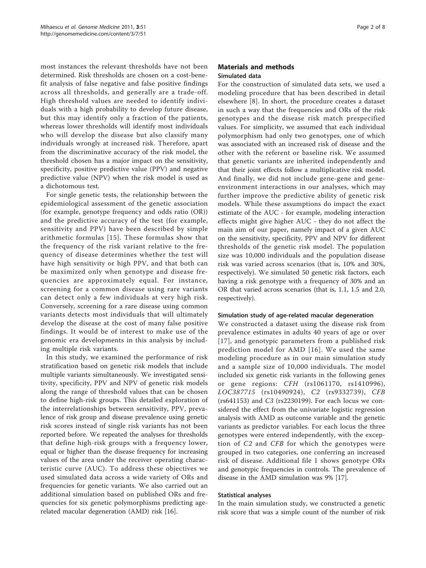most instances the relevant thresholds have not been determined. Risk thresholds are chosen on a cost-benefit analysis of false negative and false positive findings across all thresholds, and generally are a trade-off. High threshold values are needed to identify individuals with a high probability to develop future disease, but this may identify only a fraction of the patients, whereas lower thresholds will identify most individuals who will develop the disease but also classify many individuals wrongly at increased risk. Therefore, apart from the discriminative accuracy of the risk model, the threshold chosen has a major impact on the sensitivity, specificity, positive predictive value (PPV) and negative predictive value (NPV) when the risk model is used as a dichotomous test.

For single genetic tests, the relationship between the epidemiological assessment of the genetic association (for example, genotype frequency and odds ratio (OR)) and the predictive accuracy of the test (for example, sensitivity and PPV) have been described by simple arithmetic formulas [[15\]](#page-7-0). These formulas show that the frequency of the risk variant relative to the frequency of disease determines whether the test will have high sensitivity or high PPV, and that both can be maximized only when genotype and disease frequencies are approximately equal. For instance, screening for a common disease using rare variants can detect only a few individuals at very high risk. Conversely, screening for a rare disease using common variants detects most individuals that will ultimately develop the disease at the cost of many false positive findings. It would be of interest to make use of the genomic era developments in this analysis by including multiple risk variants.

In this study, we examined the performance of risk stratification based on genetic risk models that include multiple variants simultaneously. We investigated sensitivity, specificity, PPV and NPV of genetic risk models along the range of threshold values that can be chosen to define high-risk groups. This detailed exploration of the interrelationships between sensitivity, PPV, prevalence of risk group and disease prevalence using genetic risk scores instead of single risk variants has not been reported before. We repeated the analyses for thresholds that define high-risk groups with a frequency lower, equal or higher than the disease frequency for increasing values of the area under the receiver operating characteristic curve (AUC). To address these objectives we used simulated data across a wide variety of ORs and frequencies for genetic variants. We also carried out an additional simulation based on published ORs and frequencies for six genetic polymorphisms predicting agerelated macular degeneration (AMD) risk [\[16](#page-7-0)].

# Materials and methods Simulated data

For the construction of simulated data sets, we used a modeling procedure that has been described in detail elsewhere [\[8](#page-6-0)]. In short, the procedure creates a dataset in such a way that the frequencies and ORs of the risk genotypes and the disease risk match prespecified values. For simplicity, we assumed that each individual polymorphism had only two genotypes, one of which was associated with an increased risk of disease and the other with the referent or baseline risk. We assumed that genetic variants are inherited independently and that their joint effects follow a multiplicative risk model. And finally, we did not include gene-gene and geneenvironment interactions in our analyses, which may further improve the predictive ability of genetic risk models. While these assumptions do impact the exact estimate of the AUC - for example, modeling interaction effects might give higher AUC - they do not affect the main aim of our paper, namely impact of a given AUC on the sensitivity, specificity, PPV and NPV for different thresholds of the genetic risk model. The population size was 10,000 individuals and the population disease risk was varied across scenarios (that is, 10% and 30%, respectively). We simulated 50 genetic risk factors, each having a risk genotype with a frequency of 30% and an OR that varied across scenarios (that is, 1.1, 1.5 and 2.0, respectively).

#### Simulation study of age-related macular degeneration

We constructed a dataset using the disease risk from prevalence estimates in adults 40 years of age or over [[17\]](#page-7-0), and genotypic parameters from a published risk prediction model for AMD [[16](#page-7-0)]. We used the same modeling procedure as in our main simulation study and a sample size of 10,000 individuals. The model included six genetic risk variants in the following genes or gene regions: CFH (rs1061170, rs1410996), LOC387715 (rs10490924), C2 (rs9332739), CFB (rs641153) and C3 (rs2230199). For each locus we considered the effect from the univariate logistic regression analysis with AMD as outcome variable and the genetic variants as predictor variables. For each locus the three genotypes were entered independently, with the exception of C2 and CFB for which the genotypes were grouped in two categories, one conferring an increased risk of disease. Additional file [1](#page-6-0) shows genotype ORs and genotypic frequencies in controls. The prevalence of disease in the AMD simulation was 9% [\[17](#page-7-0)].

# Statistical analyses

In the main simulation study, we constructed a genetic risk score that was a simple count of the number of risk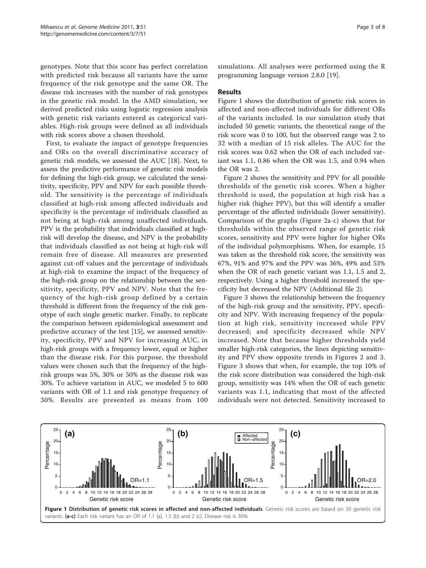genotypes. Note that this score has perfect correlation with predicted risk because all variants have the same frequency of the risk genotype and the same OR. The disease risk increases with the number of risk genotypes in the genetic risk model. In the AMD simulation, we derived predicted risks using logistic regression analysis with genetic risk variants entered as categorical variables. High-risk groups were defined as all individuals with risk scores above a chosen threshold.

First, to evaluate the impact of genotype frequencies and ORs on the overall discriminative accuracy of genetic risk models, we assessed the AUC [\[18](#page-7-0)]. Next, to assess the predictive performance of genetic risk models for defining the high-risk group, we calculated the sensitivity, specificity, PPV and NPV for each possible threshold. The sensitivity is the percentage of individuals classified at high-risk among affected individuals and specificity is the percentage of individuals classified as not being at high-risk among unaffected individuals. PPV is the probability that individuals classified at highrisk will develop the disease, and NPV is the probability that individuals classified as not being at high-risk will remain free of disease. All measures are presented against cut-off values and the percentage of individuals at high-risk to examine the impact of the frequency of the high-risk group on the relationship between the sensitivity, specificity, PPV and NPV. Note that the frequency of the high-risk group defined by a certain threshold is different from the frequency of the risk genotype of each single genetic marker. Finally, to replicate the comparison between epidemiological assessment and predictive accuracy of the test [\[15\]](#page-7-0), we assessed sensitivity, specificity, PPV and NPV for increasing AUC, in high-risk groups with a frequency lower, equal or higher than the disease risk. For this purpose, the threshold values were chosen such that the frequency of the highrisk groups was 5%, 30% or 50% as the disease risk was 30%. To achieve variation in AUC, we modeled 5 to 600 variants with OR of 1.1 and risk genotype frequency of 30%. Results are presented as means from 100 simulations. All analyses were performed using the R programming language version 2.8.0 [\[19](#page-7-0)].

# Results

Figure 1 shows the distribution of genetic risk scores in affected and non-affected individuals for different ORs of the variants included. In our simulation study that included 50 genetic variants, the theoretical range of the risk score was 0 to 100, but the observed range was 2 to 32 with a median of 15 risk alleles. The AUC for the risk scores was 0.62 when the OR of each included variant was 1.1, 0.86 when the OR was 1.5, and 0.94 when the OR was 2.

Figure [2](#page-3-0) shows the sensitivity and PPV for all possible thresholds of the genetic risk scores. When a higher threshold is used, the population at high risk has a higher risk (higher PPV), but this will identify a smaller percentage of the affected individuals (lower sensitivity). Comparison of the graphs (Figure [2a-c\)](#page-3-0) shows that for thresholds within the observed range of genetic risk scores, sensitivity and PPV were higher for higher ORs of the individual polymorphisms. When, for example, 15 was taken as the threshold risk score, the sensitivity was 67%, 91% and 97% and the PPV was 36%, 49% and 53% when the OR of each genetic variant was 1.1, 1.5 and 2, respectively. Using a higher threshold increased the specificity but decreased the NPV (Additional file [2](#page-6-0)).

Figure [3](#page-3-0) shows the relationship between the frequency of the high-risk group and the sensitivity, PPV, specificity and NPV. With increasing frequency of the population at high risk, sensitivity increased while PPV decreased; and specificity decreased while NPV increased. Note that because higher thresholds yield smaller high-risk categories, the lines depicting sensitivity and PPV show opposite trends in Figures [2](#page-3-0) and [3](#page-3-0). Figure [3](#page-3-0) shows that when, for example, the top 10% of the risk score distribution was considered the high-risk group, sensitivity was 14% when the OR of each genetic variants was 1.1, indicating that most of the affected individuals were not detected. Sensitivity increased to

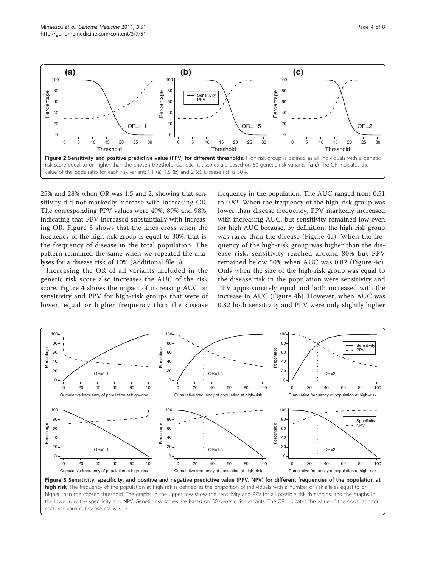<span id="page-3-0"></span>

25% and 28% when OR was 1.5 and 2, showing that sensitivity did not markedly increase with increasing OR. The corresponding PPV values were 49%, 89% and 98%, indicating that PPV increased substantially with increasing OR. Figure 3 shows that the lines cross when the frequency of the high-risk group is equal to 30%, that is, the frequency of disease in the total population. The pattern remained the same when we repeated the analyses for a disease risk of 10% (Additional file [3\)](#page-6-0).

Increasing the OR of all variants included in the genetic risk score also increases the AUC of the risk score. Figure [4](#page-4-0) shows the impact of increasing AUC on sensitivity and PPV for high-risk groups that were of lower, equal or higher frequency than the disease

frequency in the population. The AUC ranged from 0.51 to 0.82. When the frequency of the high-risk group was lower than disease frequency, PPV markedly increased with increasing AUC, but sensitivity remained low even for high AUC because, by definition, the high-risk group was rarer than the disease (Figure [4a\)](#page-4-0). When the frequency of the high-risk group was higher than the disease risk, sensitivity reached around 80% but PPV remained below 50% when AUC was 0.82 (Figure [4c](#page-4-0)). Only when the size of the high-risk group was equal to the disease risk in the population were sensitivity and PPV approximately equal and both increased with the increase in AUC (Figure [4b](#page-4-0)). However, when AUC was 0.82 both sensitivity and PPV were only slightly higher



higher than the chosen threshold. The graphs in the upper row show the sensitivity and PPV for all possible risk thresholds, and the graphs in the lower row the specificity and NPV. Genetic risk scores are based on 50 genetic risk variants. The OR indicates the value of the odds ratio for each risk variant. Disease risk is 30%.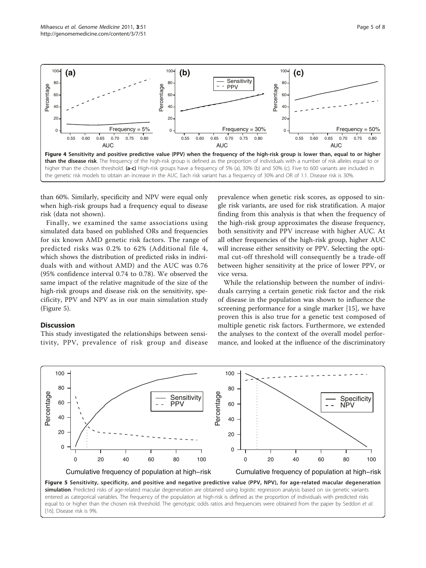<span id="page-4-0"></span>

than 60%. Similarly, specificity and NPV were equal only when high-risk groups had a frequency equal to disease risk (data not shown).

Finally, we examined the same associations using simulated data based on published ORs and frequencies for six known AMD genetic risk factors. The range of predicted risks was 0.2% to 62% (Additional file [4](#page-6-0), which shows the distribution of predicted risks in individuals with and without AMD) and the AUC was 0.76 (95% confidence interval 0.74 to 0.78). We observed the same impact of the relative magnitude of the size of the high-risk groups and disease risk on the sensitivity, specificity, PPV and NPV as in our main simulation study (Figure 5).

#### **Discussion**

This study investigated the relationships between sensitivity, PPV, prevalence of risk group and disease

prevalence when genetic risk scores, as opposed to single risk variants, are used for risk stratification. A major finding from this analysis is that when the frequency of the high-risk group approximates the disease frequency, both sensitivity and PPV increase with higher AUC. At all other frequencies of the high-risk group, higher AUC will increase either sensitivity or PPV. Selecting the optimal cut-off threshold will consequently be a trade-off between higher sensitivity at the price of lower PPV, or vice versa.

While the relationship between the number of individuals carrying a certain genetic risk factor and the risk of disease in the population was shown to influence the screening performance for a single marker [[15\]](#page-7-0), we have proven this is also true for a genetic test composed of multiple genetic risk factors. Furthermore, we extended the analyses to the context of the overall model performance, and looked at the influence of the discriminatory

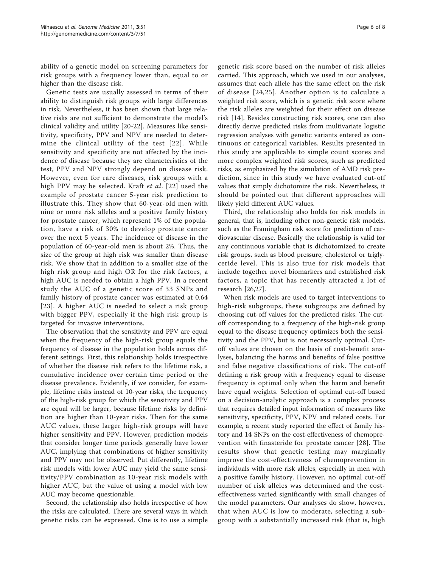ability of a genetic model on screening parameters for risk groups with a frequency lower than, equal to or higher than the disease risk.

Genetic tests are usually assessed in terms of their ability to distinguish risk groups with large differences in risk. Nevertheless, it has been shown that large relative risks are not sufficient to demonstrate the model's clinical validity and utility [[20-22](#page-7-0)]. Measures like sensitivity, specificity, PPV and NPV are needed to determine the clinical utility of the test [[22](#page-7-0)]. While sensitivity and specificity are not affected by the incidence of disease because they are characteristics of the test, PPV and NPV strongly depend on disease risk. However, even for rare diseases, risk groups with a high PPV may be selected. Kraft et al. [\[22\]](#page-7-0) used the example of prostate cancer 5-year risk prediction to illustrate this. They show that 60-year-old men with nine or more risk alleles and a positive family history for prostate cancer, which represent 1% of the population, have a risk of 30% to develop prostate cancer over the next 5 years. The incidence of disease in the population of 60-year-old men is about 2%. Thus, the size of the group at high risk was smaller than disease risk. We show that in addition to a smaller size of the high risk group and high OR for the risk factors, a high AUC is needed to obtain a high PPV. In a recent study the AUC of a genetic score of 33 SNPs and family history of prostate cancer was estimated at 0.64 [[23\]](#page-7-0). A higher AUC is needed to select a risk group with bigger PPV, especially if the high risk group is targeted for invasive interventions.

The observation that the sensitivity and PPV are equal when the frequency of the high-risk group equals the frequency of disease in the population holds across different settings. First, this relationship holds irrespective of whether the disease risk refers to the lifetime risk, a cumulative incidence over certain time period or the disease prevalence. Evidently, if we consider, for example, lifetime risks instead of 10-year risks, the frequency of the high-risk group for which the sensitivity and PPV are equal will be larger, because lifetime risks by definition are higher than 10-year risks. Then for the same AUC values, these larger high-risk groups will have higher sensitivity and PPV. However, prediction models that consider longer time periods generally have lower AUC, implying that combinations of higher sensitivity and PPV may not be observed. Put differently, lifetime risk models with lower AUC may yield the same sensitivity/PPV combination as 10-year risk models with higher AUC, but the value of using a model with low AUC may become questionable.

Second, the relationship also holds irrespective of how the risks are calculated. There are several ways in which genetic risks can be expressed. One is to use a simple

genetic risk score based on the number of risk alleles carried. This approach, which we used in our analyses, assumes that each allele has the same effect on the risk of disease [[24,25](#page-7-0)]. Another option is to calculate a weighted risk score, which is a genetic risk score where the risk alleles are weighted for their effect on disease risk [[14\]](#page-6-0). Besides constructing risk scores, one can also directly derive predicted risks from multivariate logistic regression analyses with genetic variants entered as continuous or categorical variables. Results presented in this study are applicable to simple count scores and more complex weighted risk scores, such as predicted risks, as emphasized by the simulation of AMD risk prediction, since in this study we have evaluated cut-off values that simply dichotomize the risk. Nevertheless, it should be pointed out that different approaches will likely yield different AUC values.

Third, the relationship also holds for risk models in general, that is, including other non-genetic risk models, such as the Framingham risk score for prediction of cardiovascular disease. Basically the relationship is valid for any continuous variable that is dichotomized to create risk groups, such as blood pressure, cholesterol or triglyceride level. This is also true for risk models that include together novel biomarkers and established risk factors, a topic that has recently attracted a lot of research [[26,27\]](#page-7-0).

When risk models are used to target interventions to high-risk subgroups, these subgroups are defined by choosing cut-off values for the predicted risks. The cutoff corresponding to a frequency of the high-risk group equal to the disease frequency optimizes both the sensitivity and the PPV, but is not necessarily optimal. Cutoff values are chosen on the basis of cost-benefit analyses, balancing the harms and benefits of false positive and false negative classifications of risk. The cut-off defining a risk group with a frequency equal to disease frequency is optimal only when the harm and benefit have equal weights. Selection of optimal cut-off based on a decision-analytic approach is a complex process that requires detailed input information of measures like sensitivity, specificity, PPV, NPV and related costs. For example, a recent study reported the effect of family history and 14 SNPs on the cost-effectiveness of chemoprevention with finasteride for prostate cancer [[28](#page-7-0)]. The results show that genetic testing may marginally improve the cost-effectiveness of chemoprevention in individuals with more risk alleles, especially in men with a positive family history. However, no optimal cut-off number of risk alleles was determined and the costeffectiveness varied significantly with small changes of the model parameters. Our analyses do show, however, that when AUC is low to moderate, selecting a subgroup with a substantially increased risk (that is, high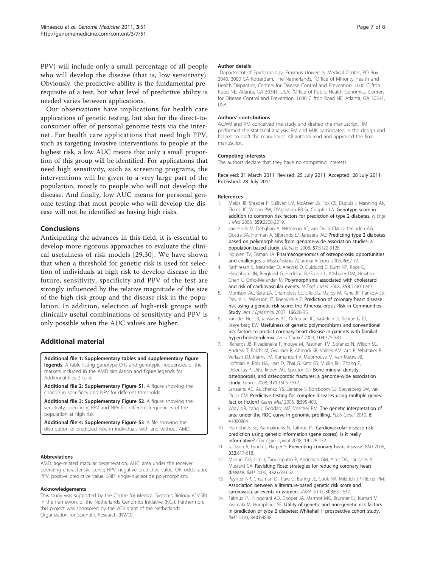<span id="page-6-0"></span>PPV) will include only a small percentage of all people who will develop the disease (that is, low sensitivity). Obviously, the predictive ability is the fundamental prerequisite of a test, but what level of predictive ability is needed varies between applications.

Our observations have implications for health care applications of genetic testing, but also for the direct-toconsumer offer of personal genome tests via the internet. For health care applications that need high PPV, such as targeting invasive interventions to people at the highest risk, a low AUC means that only a small proportion of this group will be identified. For applications that need high sensitivity, such as screening programs, the interventions will be given to a very large part of the population, mostly to people who will not develop the disease. And finally, low AUC means for personal genome testing that most people who will develop the disease will not be identified as having high risks.

# Conclusions

Anticipating the advances in this field, it is essential to develop more rigorous approaches to evaluate the clinical usefulness of risk models [[29,30](#page-7-0)]. We have shown that when a threshold for genetic risk is used for selection of individuals at high risk to develop disease in the future, sensitivity, specificity and PPV of the test are strongly influenced by the relative magnitude of the size of the high-risk group and the disease risk in the population. In addition, selection of high-risk groups with clinically useful combinations of sensitivity and PPV is only possible when the AUC values are higher.

# Additional material

[Additional file 1: S](http://www.biomedcentral.com/content/supplementary/gm267-S1.DOC)upplementary tables and supplementary figure legends. A table listing genotype ORs and genotypic frequencies of the markers included in the AMD simulation and figure legends for Additional files 2 to 4.

[Additional file 2: S](http://www.biomedcentral.com/content/supplementary/gm267-S2.PDF)upplementary Figure S1. A figure showing the change in specificity and NPV for different thresholds.

[Additional file 3: S](http://www.biomedcentral.com/content/supplementary/gm267-S3.PDF)upplementary Figure S2. A figure showing the sensitivity, specificity, PPV and NPV for different frequencies of the population at high risk.

[Additional file 4: S](http://www.biomedcentral.com/content/supplementary/gm267-S4.PDF)upplementary Figure S3. A file showing the distribution of predicted risks in individuals with and without AMD.

#### Abbreviations

AMD: age-related macular degeneration; AUC: area under the receiver operating characteristic curve; NPV: negative predictive value; OR: odds ratio; PPV: positive predictive value; SNP: single-nucleotide polymorphism.

#### Acknowledgements

This study was supported by the Centre for Medical Systems Biology (CMSB) in the framework of the Netherlands Genomics Initiative (NGI). Furthermore, this project was sponsored by the VIDI grant of the Netherlands Organization for Scientific Research (NWO).

#### Author details

<sup>1</sup>Department of Epidemiology, Erasmus University Medical Center, PO Box 2040, 3000 CA Rotterdam, The Netherlands. <sup>2</sup>Office of Minority Health and Health Disparities, Centers for Disease Control and Prevention, 1600 Clifton Road NE, Atlanta, GA 30341, USA. <sup>3</sup>Office of Public Health Genomics, Centers for Disease Control and Prevention, 1600 Clifton Road NE, Atlanta, GA 30341, USA.

#### Authors' contributions

ACJWJ and RM conceived the study and drafted the manuscript. RM performed the statistical analysis. RM and MJK participated in the design and helped to draft the manuscript. All authors read and approved the final manuscript.

#### Competing interests

The authors declare that they have no competing interests.

Received: 31 March 2011 Revised: 25 July 2011 Accepted: 28 July 2011 Published: 28 July 2011

#### References

- 1. Meigs JB, Shrader P, Sullivan LM, McAteer JB, Fox CS, Dupuis J, Manning AK, Florez JC, Wilson PW, D'Agostino RB Sr, Cupples LA: [Genotype score in](http://www.ncbi.nlm.nih.gov/pubmed/19020323?dopt=Abstract) [addition to common risk factors for prediction of type 2 diabetes.](http://www.ncbi.nlm.nih.gov/pubmed/19020323?dopt=Abstract) N Engl J Med 2008, 359:2208-2219.
- 2. van Hoek M, Dehghan A, Witteman JC, van Duijn CM, Uitterlinden AG, Oostra BA, Hofman A, Sijbrands EJ, Janssens AC: [Predicting type 2 diabetes](http://www.ncbi.nlm.nih.gov/pubmed/18694974?dopt=Abstract) [based on polymorphisms from genome-wide association studies: a](http://www.ncbi.nlm.nih.gov/pubmed/18694974?dopt=Abstract) [population-based study.](http://www.ncbi.nlm.nih.gov/pubmed/18694974?dopt=Abstract) Diabetes 2008, 57:3122-3128.
- 3. Nguyen TV, Eisman JA: [Pharmacogenomics of osteoporosis: opportunities](http://www.ncbi.nlm.nih.gov/pubmed/16675890?dopt=Abstract) [and challenges.](http://www.ncbi.nlm.nih.gov/pubmed/16675890?dopt=Abstract) J Musculoskelet Neuronal Interact 2006, 6:62-72.
- 4. Kathiresan S, Melander O, Anevski D, Guiducci C, Burtt NP, Roos C, Hirschhorn JN, Berglund G, Hedblad B, Groop L, Altshuler DM, Newton-Cheh C, Orho-Melander M: [Polymorphisms associated with cholesterol](http://www.ncbi.nlm.nih.gov/pubmed/18354102?dopt=Abstract) [and risk of cardiovascular events.](http://www.ncbi.nlm.nih.gov/pubmed/18354102?dopt=Abstract) N Engl J Med 2008, 358:1240-1249.
- 5. Morrison AC, Bare LA, Chambless LE, Ellis SG, Malloy M, Kane JP, Pankow JS, Devlin JJ, Willerson JT, Boerwinkle E: [Prediction of coronary heart disease](http://www.ncbi.nlm.nih.gov/pubmed/17443022?dopt=Abstract) [risk using a genetic risk score: the Atherosclerosis Risk in Communities](http://www.ncbi.nlm.nih.gov/pubmed/17443022?dopt=Abstract) [Study.](http://www.ncbi.nlm.nih.gov/pubmed/17443022?dopt=Abstract) Am J Epidemiol 2007, 166:28-35.
- 6. van der Net JB, Janssens AC, Defesche JC, Kastelein JJ, Sijbrands EJ, Steyerberg EW: [Usefulness of genetic polymorphisms and conventional](http://www.ncbi.nlm.nih.gov/pubmed/19166692?dopt=Abstract) [risk factors to predict coronary heart disease in patients with familial](http://www.ncbi.nlm.nih.gov/pubmed/19166692?dopt=Abstract) [hypercholesterolemia.](http://www.ncbi.nlm.nih.gov/pubmed/19166692?dopt=Abstract) Am J Cardiol 2009, 103:375-380.
- 7. Richards JB, Rivadeneira F, Inouye M, Pastinen TM, Soranzo N, Wilson SG, Andrew T, Falchi M, Gwilliam R, Ahmadi KR, Valdes AM, Arp P, Whittaker P, Verlaan DJ, Jhamai M, Kumanduri V, Moorhouse M, van Meurs JB, Hofman A, Pols HA, Hart D, Zhai G, Kato BS, Mullin BH, Zhang F, Deloukas P, Uitterlinden AG, Spector TD: [Bone mineral density,](http://www.ncbi.nlm.nih.gov/pubmed/18455228?dopt=Abstract) [osteoporosis, and osteoporotic fractures: a genome-wide association](http://www.ncbi.nlm.nih.gov/pubmed/18455228?dopt=Abstract) [study.](http://www.ncbi.nlm.nih.gov/pubmed/18455228?dopt=Abstract) Lancet 2008, 371:1505-1512.
- 8. Janssens AC, Aulchenko YS, Elefante S, Borsboom GJ, Steyerberg EW, van Duijn CM: [Predictive testing for complex diseases using multiple genes:](http://www.ncbi.nlm.nih.gov/pubmed/16845271?dopt=Abstract) [fact or fiction?](http://www.ncbi.nlm.nih.gov/pubmed/16845271?dopt=Abstract) Genet Med 2006, 8:395-400.
- 9. Wray NR, Yang J, Goddard ME, Visscher PM: [The genetic interpretation of](http://www.ncbi.nlm.nih.gov/pubmed/20195508?dopt=Abstract) [area under the ROC curve in genomic profiling.](http://www.ncbi.nlm.nih.gov/pubmed/20195508?dopt=Abstract) PLoS Genet 2010, 6: e1000864.
- 10. Humphries SE, Yiannakouris N, Talmud PJ: [Cardiovascular disease risk](http://www.ncbi.nlm.nih.gov/pubmed/18388692?dopt=Abstract) [prediction using genetic information \(gene scores\): is it really](http://www.ncbi.nlm.nih.gov/pubmed/18388692?dopt=Abstract) [informative?](http://www.ncbi.nlm.nih.gov/pubmed/18388692?dopt=Abstract) Curr Opin Lipidol 2008, 19:128-132.
- 11. Jackson R, Lynch J, Harper S: [Preventing coronary heart disease.](http://www.ncbi.nlm.nih.gov/pubmed/16543302?dopt=Abstract) BMJ 2006, 332:617-618.
- 12. Manuel DG, Lim J, Tanuseputro P, Anderson GM, Alter DA, Laupacis A, Mustard CA: [Revisiting Rose: strategies for reducing coronary heart](http://www.ncbi.nlm.nih.gov/pubmed/16543339?dopt=Abstract) [disease.](http://www.ncbi.nlm.nih.gov/pubmed/16543339?dopt=Abstract) BMJ 2006, 332:659-662.
- 13. Paynter NP, Chasman DI, Pare G, Buring JE, Cook NR, Miletich JP, Ridker PM: [Association between a literature-based genetic risk score and](http://www.ncbi.nlm.nih.gov/pubmed/20159871?dopt=Abstract) [cardiovascular events in women.](http://www.ncbi.nlm.nih.gov/pubmed/20159871?dopt=Abstract) JAMA 2010, 303:631-637.
- 14. Talmud PJ, Hingorani AD, Cooper JA, Marmot MG, Brunner EJ, Kumari M, Kivimaki M, Humphries SE: [Utility of genetic and non-genetic risk factors](http://www.ncbi.nlm.nih.gov/pubmed/20075150?dopt=Abstract) [in prediction of type 2 diabetes: Whitehall II prospective cohort study.](http://www.ncbi.nlm.nih.gov/pubmed/20075150?dopt=Abstract) BMJ 2010, 340:b4838.